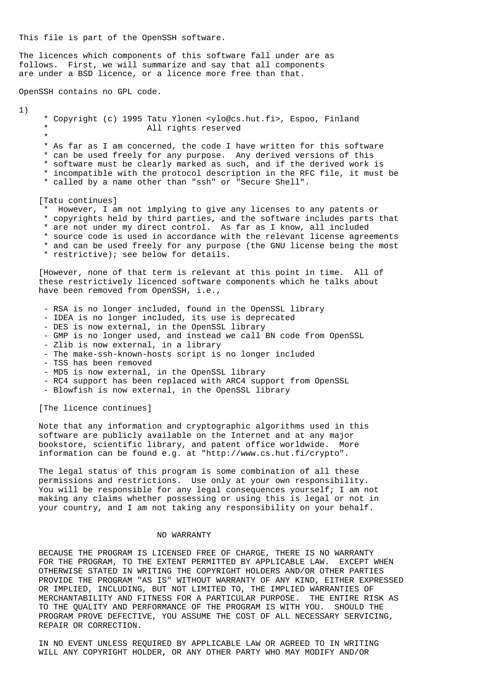This file is part of the OpenSSH software.

The licences which components of this software fall under are as follows. First, we will summarize and say that all components are under a BSD licence, or a licence more free than that.

OpenSSH contains no GPL code.

1)

 \* Copyright (c) 1995 Tatu Ylonen <ylo@cs.hut.fi>, Espoo, Finland All rights reserved \* \* As far as I am concerned, the code I have written for this software \* can be used freely for any purpose. Any derived versions of this \* software must be clearly marked as such, and if the derived work is \* incompatible with the protocol description in the RFC file, it must be \* called by a name other than "ssh" or "Secure Shell". [Tatu continues] \* However, I am not implying to give any licenses to any patents or \* copyrights held by third parties, and the software includes parts that \* are not under my direct control. As far as I know, all included \* source code is used in accordance with the relevant license agreements \* and can be used freely for any purpose (the GNU license being the most \* restrictive); see below for details. [However, none of that term is relevant at this point in time. All of these restrictively licenced software components which he talks about have been removed from OpenSSH, i.e., - RSA is no longer included, found in the OpenSSL library - IDEA is no longer included, its use is deprecated - DES is now external, in the OpenSSL library - GMP is no longer used, and instead we call BN code from OpenSSL - Zlib is now external, in a library - The make-ssh-known-hosts script is no longer included - TSS has been removed - MD5 is now external, in the OpenSSL library - RC4 support has been replaced with ARC4 support from OpenSSL - Blowfish is now external, in the OpenSSL library [The licence continues] Note that any information and cryptographic algorithms used in this software are publicly available on the Internet and at any major bookstore, scientific library, and patent office worldwide. More

 The legal status of this program is some combination of all these permissions and restrictions. Use only at your own responsibility. You will be responsible for any legal consequences yourself; I am not making any claims whether possessing or using this is legal or not in your country, and I am not taking any responsibility on your behalf.

information can be found e.g. at "http://www.cs.hut.fi/crypto".

## NO WARRANTY

 BECAUSE THE PROGRAM IS LICENSED FREE OF CHARGE, THERE IS NO WARRANTY FOR THE PROGRAM, TO THE EXTENT PERMITTED BY APPLICABLE LAW. EXCEPT WHEN OTHERWISE STATED IN WRITING THE COPYRIGHT HOLDERS AND/OR OTHER PARTIES PROVIDE THE PROGRAM "AS IS" WITHOUT WARRANTY OF ANY KIND, EITHER EXPRESSED OR IMPLIED, INCLUDING, BUT NOT LIMITED TO, THE IMPLIED WARRANTIES OF MERCHANTABILITY AND FITNESS FOR A PARTICULAR PURPOSE. THE ENTIRE RISK AS TO THE QUALITY AND PERFORMANCE OF THE PROGRAM IS WITH YOU. SHOULD THE PROGRAM PROVE DEFECTIVE, YOU ASSUME THE COST OF ALL NECESSARY SERVICING, REPAIR OR CORRECTION.

 IN NO EVENT UNLESS REQUIRED BY APPLICABLE LAW OR AGREED TO IN WRITING WILL ANY COPYRIGHT HOLDER, OR ANY OTHER PARTY WHO MAY MODIFY AND/OR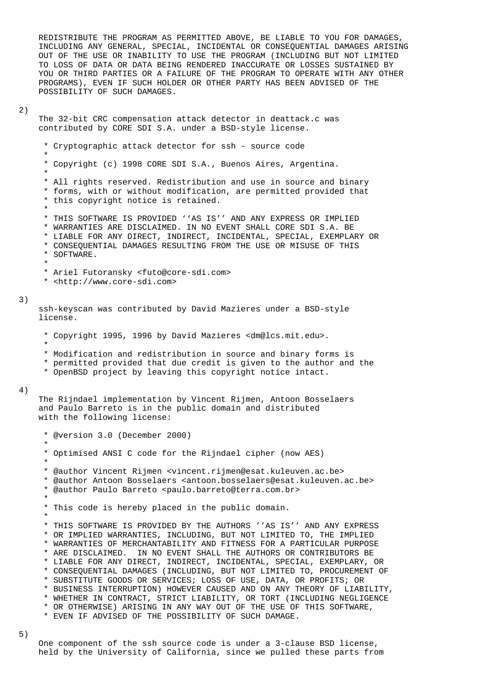REDISTRIBUTE THE PROGRAM AS PERMITTED ABOVE, BE LIABLE TO YOU FOR DAMAGES, INCLUDING ANY GENERAL, SPECIAL, INCIDENTAL OR CONSEQUENTIAL DAMAGES ARISING OUT OF THE USE OR INABILITY TO USE THE PROGRAM (INCLUDING BUT NOT LIMITED TO LOSS OF DATA OR DATA BEING RENDERED INACCURATE OR LOSSES SUSTAINED BY YOU OR THIRD PARTIES OR A FAILURE OF THE PROGRAM TO OPERATE WITH ANY OTHER PROGRAMS), EVEN IF SUCH HOLDER OR OTHER PARTY HAS BEEN ADVISED OF THE POSSIBILITY OF SUCH DAMAGES.

#### 2)

\*

 The 32-bit CRC compensation attack detector in deattack.c was contributed by CORE SDI S.A. under a BSD-style license.

\* Cryptographic attack detector for ssh - source code

\* Copyright (c) 1998 CORE SDI S.A., Buenos Aires, Argentina.

 \* \* All rights reserved. Redistribution and use in source and binary \* forms, with or without modification, are permitted provided that \* this copyright notice is retained.

\*

\* THIS SOFTWARE IS PROVIDED ''AS IS'' AND ANY EXPRESS OR IMPLIED

- \* WARRANTIES ARE DISCLAIMED. IN NO EVENT SHALL CORE SDI S.A. BE
- \* LIABLE FOR ANY DIRECT, INDIRECT, INCIDENTAL, SPECIAL, EXEMPLARY OR
- \* CONSEQUENTIAL DAMAGES RESULTING FROM THE USE OR MISUSE OF THIS \* SOFTWARE.
- \*

\* Ariel Futoransky <futo@core-sdi.com>

\* <http://www.core-sdi.com>

#### 3)

 ssh-keyscan was contributed by David Mazieres under a BSD-style license.

- \* Copyright 1995, 1996 by David Mazieres <dm@lcs.mit.edu>.
- \*
	- \* Modification and redistribution in source and binary forms is
	- \* permitted provided that due credit is given to the author and the
	- \* OpenBSD project by leaving this copyright notice intact.

# 4)

 The Rijndael implementation by Vincent Rijmen, Antoon Bosselaers and Paulo Barreto is in the public domain and distributed with the following license:

 \* @version 3.0 (December 2000) \* \* Optimised ANSI C code for the Rijndael cipher (now AES) \* \* @author Vincent Rijmen <vincent.rijmen@esat.kuleuven.ac.be> \* @author Antoon Bosselaers <antoon.bosselaers@esat.kuleuven.ac.be> \* @author Paulo Barreto <paulo.barreto@terra.com.br> \* \* This code is hereby placed in the public domain. \* \* THIS SOFTWARE IS PROVIDED BY THE AUTHORS ''AS IS'' AND ANY EXPRESS \* OR IMPLIED WARRANTIES, INCLUDING, BUT NOT LIMITED TO, THE IMPLIED \* WARRANTIES OF MERCHANTABILITY AND FITNESS FOR A PARTICULAR PURPOSE \* ARE DISCLAIMED. IN NO EVENT SHALL THE AUTHORS OR CONTRIBUTORS BE \* LIABLE FOR ANY DIRECT, INDIRECT, INCIDENTAL, SPECIAL, EXEMPLARY, OR \* CONSEQUENTIAL DAMAGES (INCLUDING, BUT NOT LIMITED TO, PROCUREMENT OF \* SUBSTITUTE GOODS OR SERVICES; LOSS OF USE, DATA, OR PROFITS; OR \* BUSINESS INTERRUPTION) HOWEVER CAUSED AND ON ANY THEORY OF LIABILITY, \* WHETHER IN CONTRACT, STRICT LIABILITY, OR TORT (INCLUDING NEGLIGENCE \* OR OTHERWISE) ARISING IN ANY WAY OUT OF THE USE OF THIS SOFTWARE, \* EVEN IF ADVISED OF THE POSSIBILITY OF SUCH DAMAGE.

 One component of the ssh source code is under a 3-clause BSD license, held by the University of California, since we pulled these parts from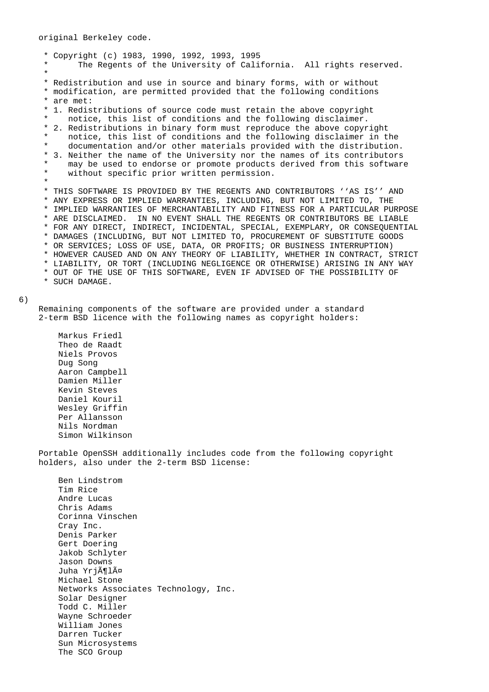\* Copyright (c) 1983, 1990, 1992, 1993, 1995 The Regents of the University of California. All rights reserved. \* \* Redistribution and use in source and binary forms, with or without \* modification, are permitted provided that the following conditions \* are met: \* 1. Redistributions of source code must retain the above copyright notice, this list of conditions and the following disclaimer. \* 2. Redistributions in binary form must reproduce the above copyright notice, this list of conditions and the following disclaimer in the documentation and/or other materials provided with the distribution. \* 3. Neither the name of the University nor the names of its contributors may be used to endorse or promote products derived from this software \* without specific prior written permission. \* \* THIS SOFTWARE IS PROVIDED BY THE REGENTS AND CONTRIBUTORS ''AS IS'' AND \* ANY EXPRESS OR IMPLIED WARRANTIES, INCLUDING, BUT NOT LIMITED TO, THE \* IMPLIED WARRANTIES OF MERCHANTABILITY AND FITNESS FOR A PARTICULAR PURPOSE \* ARE DISCLAIMED. IN NO EVENT SHALL THE REGENTS OR CONTRIBUTORS BE LIABLE \* FOR ANY DIRECT, INDIRECT, INCIDENTAL, SPECIAL, EXEMPLARY, OR CONSEQUENTIAL \* DAMAGES (INCLUDING, BUT NOT LIMITED TO, PROCUREMENT OF SUBSTITUTE GOODS \* OR SERVICES; LOSS OF USE, DATA, OR PROFITS; OR BUSINESS INTERRUPTION) \* HOWEVER CAUSED AND ON ANY THEORY OF LIABILITY, WHETHER IN CONTRACT, STRICT \* LIABILITY, OR TORT (INCLUDING NEGLIGENCE OR OTHERWISE) ARISING IN ANY WAY \* OUT OF THE USE OF THIS SOFTWARE, EVEN IF ADVISED OF THE POSSIBILITY OF \* SUCH DAMAGE.

### 6)

 Remaining components of the software are provided under a standard 2-term BSD licence with the following names as copyright holders:

 Markus Friedl Theo de Raadt Niels Provos Dug Song Aaron Campbell Damien Miller Kevin Steves Daniel Kouril Wesley Griffin Per Allansson Nils Nordman Simon Wilkinson

 Portable OpenSSH additionally includes code from the following copyright holders, also under the 2-term BSD license:

 Ben Lindstrom Tim Rice Andre Lucas Chris Adams Corinna Vinschen Cray Inc. Denis Parker Gert Doering Jakob Schlyter Jason Downs Juha Yrjölä Michael Stone Networks Associates Technology, Inc. Solar Designer Todd C. Miller Wayne Schroeder William Jones Darren Tucker Sun Microsystems The SCO Group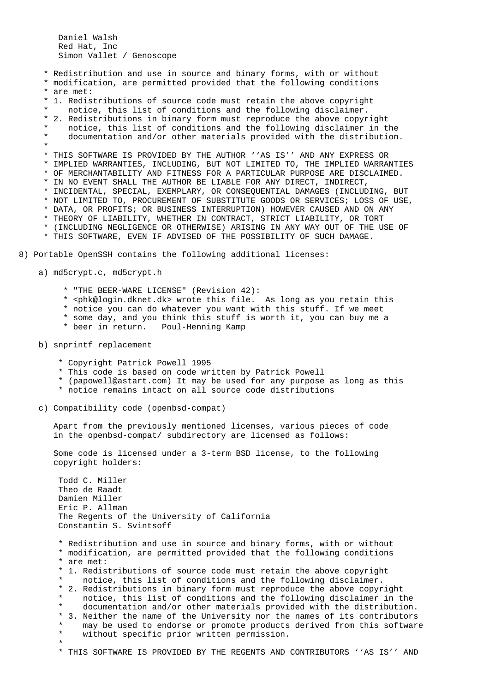Daniel Walsh Red Hat, Inc Simon Vallet / Genoscope

 \* Redistribution and use in source and binary forms, with or without \* modification, are permitted provided that the following conditions \* are met: \* 1. Redistributions of source code must retain the above copyright notice, this list of conditions and the following disclaimer. \* 2. Redistributions in binary form must reproduce the above copyright notice, this list of conditions and the following disclaimer in the documentation and/or other materials provided with the distribution. \* \* THIS SOFTWARE IS PROVIDED BY THE AUTHOR ''AS IS'' AND ANY EXPRESS OR \* IMPLIED WARRANTIES, INCLUDING, BUT NOT LIMITED TO, THE IMPLIED WARRANTIES \* OF MERCHANTABILITY AND FITNESS FOR A PARTICULAR PURPOSE ARE DISCLAIMED. \* IN NO EVENT SHALL THE AUTHOR BE LIABLE FOR ANY DIRECT, INDIRECT, \* INCIDENTAL, SPECIAL, EXEMPLARY, OR CONSEQUENTIAL DAMAGES (INCLUDING, BUT \* NOT LIMITED TO, PROCUREMENT OF SUBSTITUTE GOODS OR SERVICES; LOSS OF USE, \* DATA, OR PROFITS; OR BUSINESS INTERRUPTION) HOWEVER CAUSED AND ON ANY \* THEORY OF LIABILITY, WHETHER IN CONTRACT, STRICT LIABILITY, OR TORT \* (INCLUDING NEGLIGENCE OR OTHERWISE) ARISING IN ANY WAY OUT OF THE USE OF \* THIS SOFTWARE, EVEN IF ADVISED OF THE POSSIBILITY OF SUCH DAMAGE. 8) Portable OpenSSH contains the following additional licenses: a) md5crypt.c, md5crypt.h \* "THE BEER-WARE LICENSE" (Revision 42): \* <phk@login.dknet.dk> wrote this file. As long as you retain this \* notice you can do whatever you want with this stuff. If we meet \* some day, and you think this stuff is worth it, you can buy me a \* beer in return. Poul-Henning Kamp b) snprintf replacement \* Copyright Patrick Powell 1995 \* This code is based on code written by Patrick Powell \* (papowell@astart.com) It may be used for any purpose as long as this \* notice remains intact on all source code distributions c) Compatibility code (openbsd-compat) Apart from the previously mentioned licenses, various pieces of code in the openbsd-compat/ subdirectory are licensed as follows:

 Some code is licensed under a 3-term BSD license, to the following copyright holders:

 Todd C. Miller Theo de Raadt Damien Miller Eric P. Allman The Regents of the University of California Constantin S. Svintsoff

 \* Redistribution and use in source and binary forms, with or without \* modification, are permitted provided that the following conditions \* are met:

- \* 1. Redistributions of source code must retain the above copyright
- notice, this list of conditions and the following disclaimer.
- \* 2. Redistributions in binary form must reproduce the above copyright notice, this list of conditions and the following disclaimer in the documentation and/or other materials provided with the distribution. \* 3. Neither the name of the University nor the names of its contributors
- \* may be used to endorse or promote products derived from this software<br>\* without specific prior written permission without specific prior written permission. \*
	- \* THIS SOFTWARE IS PROVIDED BY THE REGENTS AND CONTRIBUTORS ''AS IS'' AND